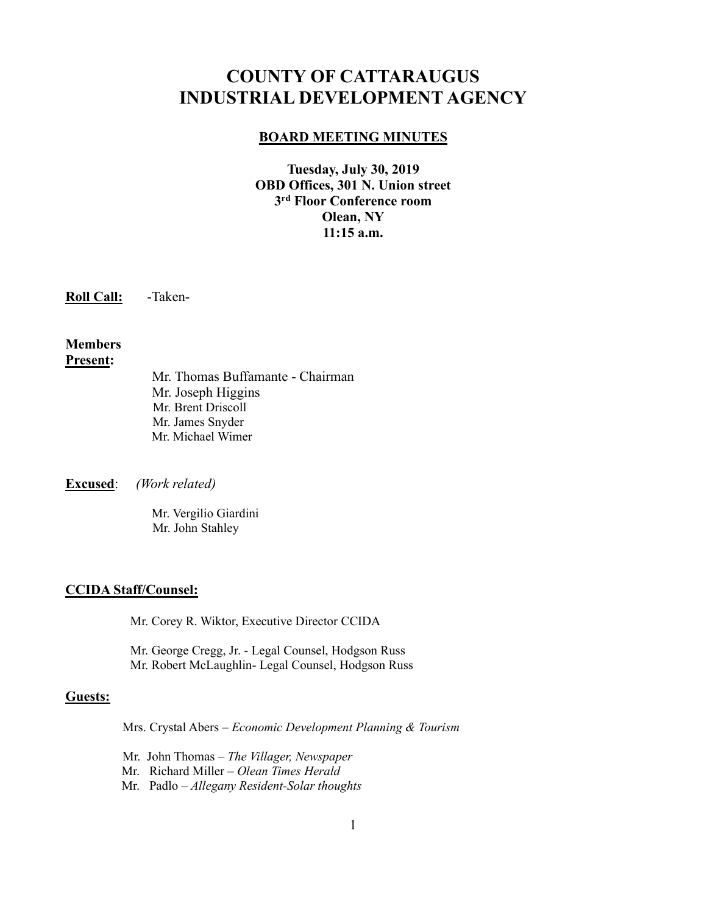# **COUNTY OF CATTARAUGUS INDUSTRIAL DEVELOPMENT AGENCY**

#### **BOARD MEETING MINUTES**

**Tuesday, July 30, 2019 OBD Offices, 301 N. Union street 3 rd Floor Conference room Olean, NY 11:15 a.m.**

**Roll Call:** -Taken-

# **Members Present:**

Mr. Thomas Buffamante - Chairman Mr. Joseph Higgins Mr. Brent Driscoll Mr. James Snyder Mr. Michael Wimer

**Excused**: *(Work related)*

Mr. Vergilio Giardini Mr. John Stahley

# **CCIDA Staff/Counsel:**

Mr. Corey R. Wiktor, Executive Director CCIDA

Mr. George Cregg, Jr. - Legal Counsel, Hodgson Russ Mr. Robert McLaughlin- Legal Counsel, Hodgson Russ

#### **Guests:**

Mrs. Crystal Abers – *Economic Development Planning & Tourism*

Mr. John Thomas – *The Villager, Newspaper*

Mr. Richard Miller – *Olean Times Herald*

Mr. Padlo – *Allegany Resident-Solar thoughts*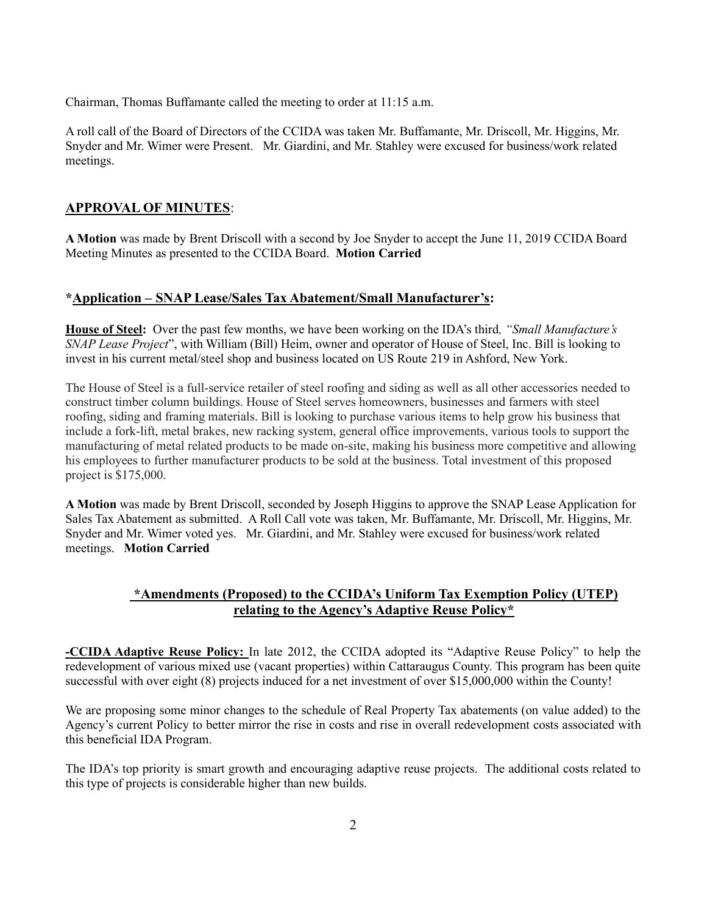Chairman, Thomas Buffamante called the meeting to order at 11:15 a.m.

A roll call of the Board of Directors of the CCIDA was taken Mr. Buffamante, Mr. Driscoll, Mr. Higgins, Mr. Snyder and Mr. Wimer were Present. Mr. Giardini, and Mr. Stahley were excused for business/work related meetings.

# **APPROVAL OF MINUTES**:

**A Motion** was made by Brent Driscoll with a second by Joe Snyder to accept the June 11, 2019 CCIDA Board Meeting Minutes as presented to the CCIDA Board. **Motion Carried**

# **\*Application – SNAP Lease/Sales Tax Abatement/Small Manufacturer's:**

**House of Steel:** Over the past few months, we have been working on the IDA's third*, "Small Manufacture's SNAP Lease Project*", with William (Bill) Heim, owner and operator of House of Steel, Inc. Bill is looking to invest in his current metal/steel shop and business located on US Route 219 in Ashford, New York.

The House of Steel is a full-service retailer of steel roofing and siding as well as all other accessories needed to construct timber column buildings. House of Steel serves homeowners, businesses and farmers with steel roofing, siding and framing materials. Bill is looking to purchase various items to help grow his business that include a fork-lift, metal brakes, new racking system, general office improvements, various tools to support the manufacturing of metal related products to be made on-site, making his business more competitive and allowing his employees to further manufacturer products to be sold at the business. Total investment of this proposed project is \$175,000.

**A Motion** was made by Brent Driscoll, seconded by Joseph Higgins to approve the SNAP Lease Application for Sales Tax Abatement as submitted. A Roll Call vote was taken, Mr. Buffamante, Mr. Driscoll, Mr. Higgins, Mr. Snyder and Mr. Wimer voted yes. Mr. Giardini, and Mr. Stahley were excused for business/work related meetings. **Motion Carried**

# **\*Amendments (Proposed) to the CCIDA's Uniform Tax Exemption Policy (UTEP) relating to the Agency's Adaptive Reuse Policy\***

**-CCIDA Adaptive Reuse Policy:** In late 2012, the CCIDA adopted its "Adaptive Reuse Policy" to help the redevelopment of various mixed use (vacant properties) within Cattaraugus County. This program has been quite successful with over eight (8) projects induced for a net investment of over \$15,000,000 within the County!

We are proposing some minor changes to the schedule of Real Property Tax abatements (on value added) to the Agency's current Policy to better mirror the rise in costs and rise in overall redevelopment costs associated with this beneficial IDA Program.

The IDA's top priority is smart growth and encouraging adaptive reuse projects. The additional costs related to this type of projects is considerable higher than new builds.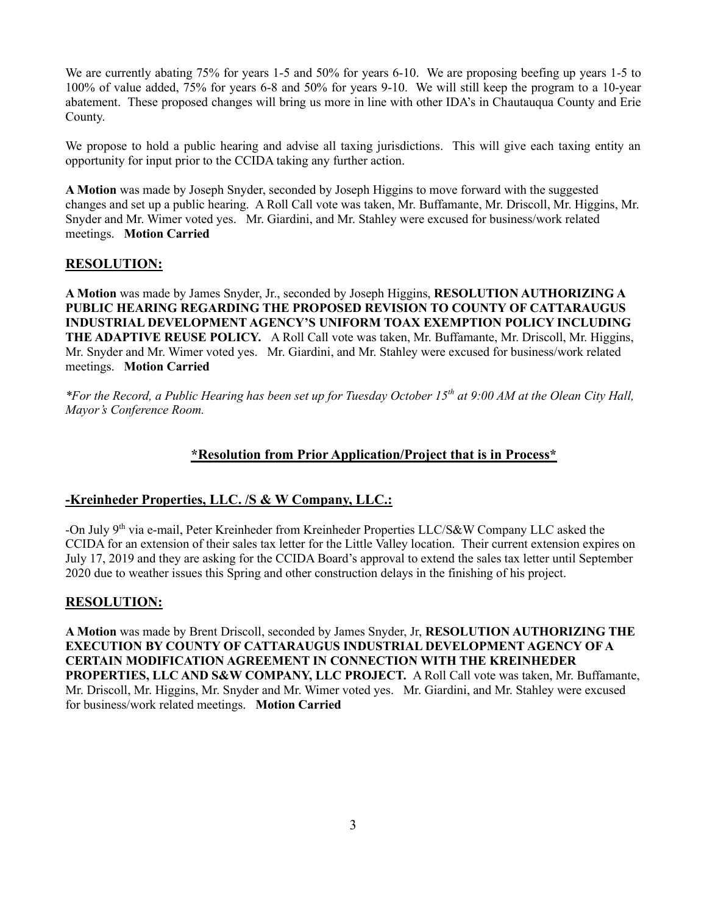We are currently abating 75% for years 1-5 and 50% for years 6-10. We are proposing beefing up years 1-5 to 100% of value added, 75% for years 6-8 and 50% for years 9-10. We will still keep the program to a 10-year abatement. These proposed changes will bring us more in line with other IDA's in Chautauqua County and Erie County.

We propose to hold a public hearing and advise all taxing jurisdictions. This will give each taxing entity an opportunity for input prior to the CCIDA taking any further action.

**A Motion** was made by Joseph Snyder, seconded by Joseph Higgins to move forward with the suggested changes and set up a public hearing. A Roll Call vote was taken, Mr. Buffamante, Mr. Driscoll, Mr. Higgins, Mr. Snyder and Mr. Wimer voted yes. Mr. Giardini, and Mr. Stahley were excused for business/work related meetings. **Motion Carried**

# **RESOLUTION:**

**A Motion** was made by James Snyder, Jr., seconded by Joseph Higgins, **RESOLUTION AUTHORIZING A PUBLIC HEARING REGARDING THE PROPOSED REVISION TO COUNTY OF CATTARAUGUS INDUSTRIAL DEVELOPMENT AGENCY'S UNIFORM TOAX EXEMPTION POLICY INCLUDING THE ADAPTIVE REUSE POLICY.** A Roll Call vote was taken, Mr. Buffamante, Mr. Driscoll, Mr. Higgins, Mr. Snyder and Mr. Wimer voted yes. Mr. Giardini, and Mr. Stahley were excused for business/work related meetings. **Motion Carried**

*\*For the Record, a Public Hearing has been set up for Tuesday October 15th at 9:00 AM at the Olean City Hall, Mayor's Conference Room.*

#### **\*Resolution from Prior Application/Project that is in Process\***

# **-Kreinheder Properties, LLC. /S & W Company, LLC.:**

-On July 9th via e-mail, Peter Kreinheder from Kreinheder Properties LLC/S&W Company LLC asked the CCIDA for an extension of their sales tax letter for the Little Valley location. Their current extension expires on July 17, 2019 and they are asking for the CCIDA Board's approval to extend the sales tax letter until September 2020 due to weather issues this Spring and other construction delays in the finishing of his project.

#### **RESOLUTION:**

**A Motion** was made by Brent Driscoll, seconded by James Snyder, Jr, **RESOLUTION AUTHORIZING THE EXECUTION BY COUNTY OF CATTARAUGUS INDUSTRIAL DEVELOPMENT AGENCY OF A CERTAIN MODIFICATION AGREEMENT IN CONNECTION WITH THE KREINHEDER PROPERTIES, LLC AND S&W COMPANY, LLC PROJECT.** A Roll Call vote was taken, Mr. Buffamante, Mr. Driscoll, Mr. Higgins, Mr. Snyder and Mr. Wimer voted yes. Mr. Giardini, and Mr. Stahley were excused for business/work related meetings. **Motion Carried**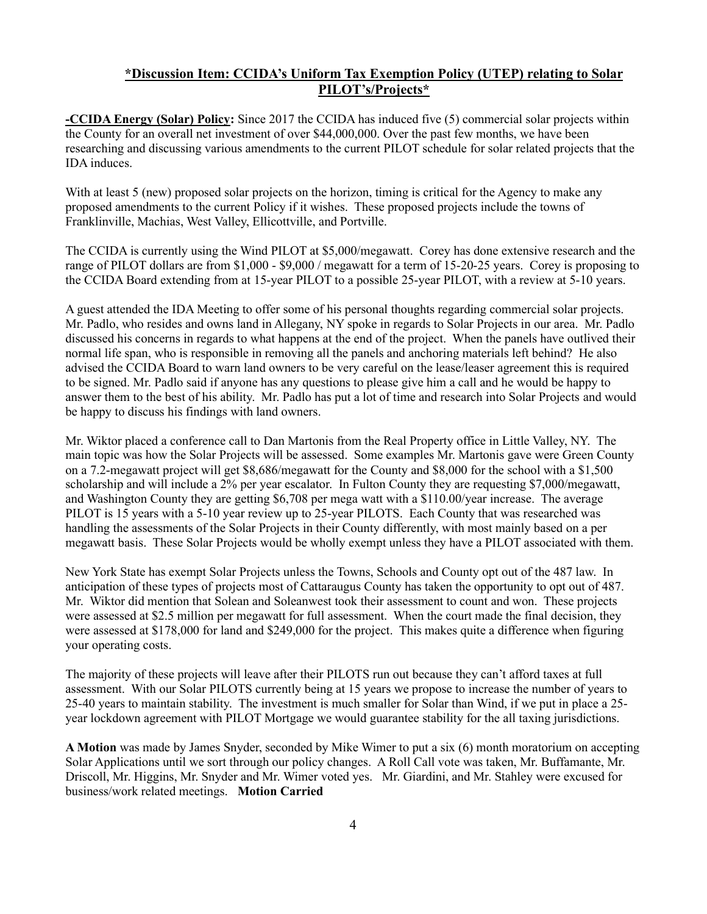# **\*Discussion Item: CCIDA's Uniform Tax Exemption Policy (UTEP) relating to Solar PILOT's/Projects\***

**-CCIDA Energy (Solar) Policy:** Since 2017 the CCIDA has induced five (5) commercial solar projects within the County for an overall net investment of over \$44,000,000. Over the past few months, we have been researching and discussing various amendments to the current PILOT schedule for solar related projects that the IDA induces.

With at least 5 (new) proposed solar projects on the horizon, timing is critical for the Agency to make any proposed amendments to the current Policy if it wishes. These proposed projects include the towns of Franklinville, Machias, West Valley, Ellicottville, and Portville.

The CCIDA is currently using the Wind PILOT at \$5,000/megawatt. Corey has done extensive research and the range of PILOT dollars are from \$1,000 - \$9,000 / megawatt for a term of 15-20-25 years. Corey is proposing to the CCIDA Board extending from at 15-year PILOT to a possible 25-year PILOT, with a review at 5-10 years.

A guest attended the IDA Meeting to offer some of his personal thoughts regarding commercial solar projects. Mr. Padlo, who resides and owns land in Allegany, NY spoke in regards to Solar Projects in our area. Mr. Padlo discussed his concerns in regards to what happens at the end of the project. When the panels have outlived their normal life span, who is responsible in removing all the panels and anchoring materials left behind? He also advised the CCIDA Board to warn land owners to be very careful on the lease/leaser agreement this is required to be signed. Mr. Padlo said if anyone has any questions to please give him a call and he would be happy to answer them to the best of his ability. Mr. Padlo has put a lot of time and research into Solar Projects and would be happy to discuss his findings with land owners.

Mr. Wiktor placed a conference call to Dan Martonis from the Real Property office in Little Valley, NY. The main topic was how the Solar Projects will be assessed. Some examples Mr. Martonis gave were Green County on a 7.2-megawatt project will get \$8,686/megawatt for the County and \$8,000 for the school with a \$1,500 scholarship and will include a 2% per year escalator. In Fulton County they are requesting \$7,000/megawatt, and Washington County they are getting \$6,708 per mega watt with a \$110.00/year increase. The average PILOT is 15 years with a 5-10 year review up to 25-year PILOTS. Each County that was researched was handling the assessments of the Solar Projects in their County differently, with most mainly based on a per megawatt basis. These Solar Projects would be wholly exempt unless they have a PILOT associated with them.

New York State has exempt Solar Projects unless the Towns, Schools and County opt out of the 487 law. In anticipation of these types of projects most of Cattaraugus County has taken the opportunity to opt out of 487. Mr. Wiktor did mention that Solean and Soleanwest took their assessment to count and won. These projects were assessed at \$2.5 million per megawatt for full assessment. When the court made the final decision, they were assessed at \$178,000 for land and \$249,000 for the project. This makes quite a difference when figuring your operating costs.

The majority of these projects will leave after their PILOTS run out because they can't afford taxes at full assessment. With our Solar PILOTS currently being at 15 years we propose to increase the number of years to 25-40 years to maintain stability. The investment is much smaller for Solar than Wind, if we put in place a 25 year lockdown agreement with PILOT Mortgage we would guarantee stability for the all taxing jurisdictions.

**A Motion** was made by James Snyder, seconded by Mike Wimer to put a six (6) month moratorium on accepting Solar Applications until we sort through our policy changes. A Roll Call vote was taken, Mr. Buffamante, Mr. Driscoll, Mr. Higgins, Mr. Snyder and Mr. Wimer voted yes. Mr. Giardini, and Mr. Stahley were excused for business/work related meetings. **Motion Carried**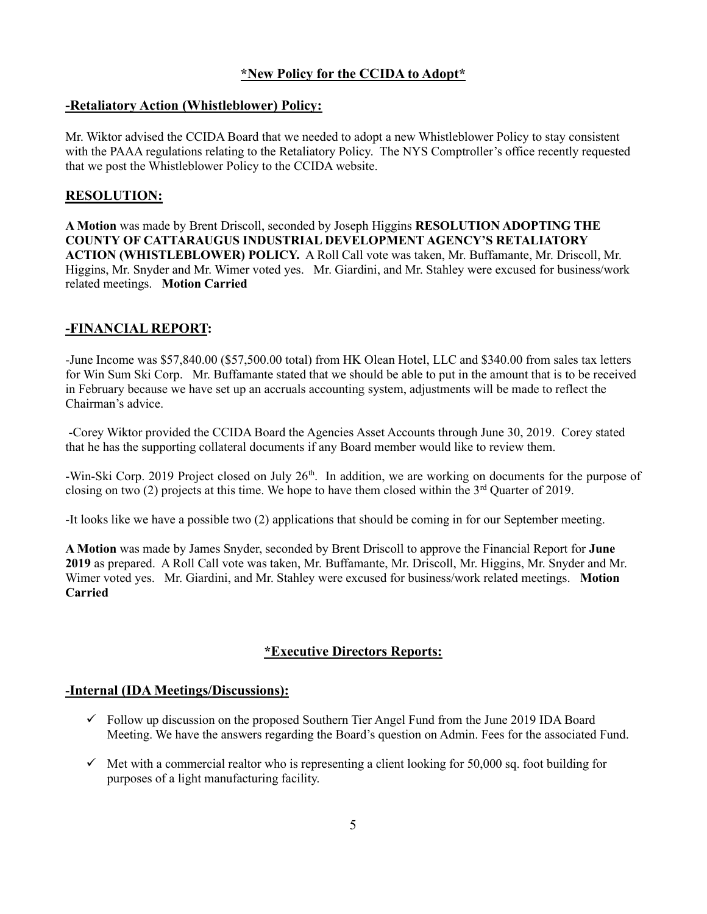# **\*New Policy for the CCIDA to Adopt\***

#### **-Retaliatory Action (Whistleblower) Policy:**

Mr. Wiktor advised the CCIDA Board that we needed to adopt a new Whistleblower Policy to stay consistent with the PAAA regulations relating to the Retaliatory Policy. The NYS Comptroller's office recently requested that we post the Whistleblower Policy to the CCIDA website.

#### **RESOLUTION:**

**A Motion** was made by Brent Driscoll, seconded by Joseph Higgins **RESOLUTION ADOPTING THE COUNTY OF CATTARAUGUS INDUSTRIAL DEVELOPMENT AGENCY'S RETALIATORY ACTION (WHISTLEBLOWER) POLICY.** A Roll Call vote was taken, Mr. Buffamante, Mr. Driscoll, Mr. Higgins, Mr. Snyder and Mr. Wimer voted yes. Mr. Giardini, and Mr. Stahley were excused for business/work related meetings. **Motion Carried**

# **-FINANCIAL REPORT:**

-June Income was \$57,840.00 (\$57,500.00 total) from HK Olean Hotel, LLC and \$340.00 from sales tax letters for Win Sum Ski Corp. Mr. Buffamante stated that we should be able to put in the amount that is to be received in February because we have set up an accruals accounting system, adjustments will be made to reflect the Chairman's advice.

-Corey Wiktor provided the CCIDA Board the Agencies Asset Accounts through June 30, 2019. Corey stated that he has the supporting collateral documents if any Board member would like to review them.

-Win-Ski Corp. 2019 Project closed on July 26<sup>th</sup>. In addition, we are working on documents for the purpose of closing on two (2) projects at this time. We hope to have them closed within the 3<sup>rd</sup> Quarter of 2019.

-It looks like we have a possible two (2) applications that should be coming in for our September meeting.

**A Motion** was made by James Snyder, seconded by Brent Driscoll to approve the Financial Report for **June 2019** as prepared. A Roll Call vote was taken, Mr. Buffamante, Mr. Driscoll, Mr. Higgins, Mr. Snyder and Mr. Wimer voted yes. Mr. Giardini, and Mr. Stahley were excused for business/work related meetings. **Motion Carried**

# **\*Executive Directors Reports:**

#### **-Internal (IDA Meetings/Discussions):**

- $\checkmark$  Follow up discussion on the proposed Southern Tier Angel Fund from the June 2019 IDA Board Meeting. We have the answers regarding the Board's question on Admin. Fees for the associated Fund.
- $\checkmark$  Met with a commercial realtor who is representing a client looking for 50,000 sq. foot building for purposes of a light manufacturing facility.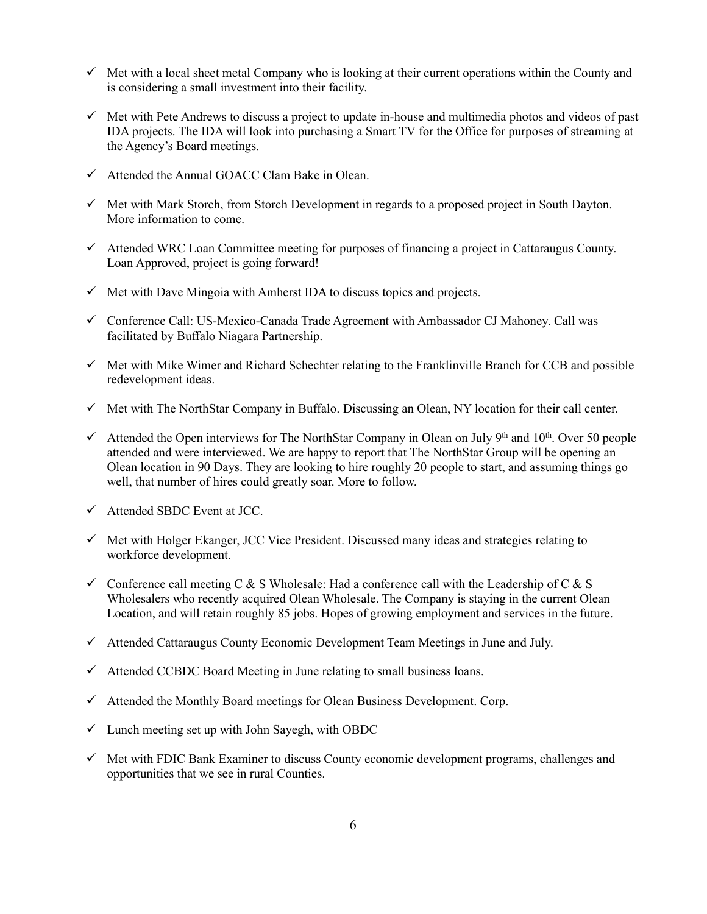- $\checkmark$  Met with a local sheet metal Company who is looking at their current operations within the County and is considering a small investment into their facility.
- $\checkmark$  Met with Pete Andrews to discuss a project to update in-house and multimedia photos and videos of past IDA projects. The IDA will look into purchasing a Smart TV for the Office for purposes of streaming at the Agency's Board meetings.
- $\checkmark$  Attended the Annual GOACC Clam Bake in Olean.
- $\checkmark$  Met with Mark Storch, from Storch Development in regards to a proposed project in South Dayton. More information to come.
- ✓ Attended WRC Loan Committee meeting for purposes of financing a project in Cattaraugus County. Loan Approved, project is going forward!
- $\checkmark$  Met with Dave Mingoia with Amherst IDA to discuss topics and projects.
- ✓ Conference Call: US-Mexico-Canada Trade Agreement with Ambassador CJ Mahoney. Call was facilitated by Buffalo Niagara Partnership.
- $\checkmark$  Met with Mike Wimer and Richard Schechter relating to the Franklinville Branch for CCB and possible redevelopment ideas.
- $\checkmark$  Met with The NorthStar Company in Buffalo. Discussing an Olean, NY location for their call center.
- $\checkmark$  Attended the Open interviews for The NorthStar Company in Olean on July 9<sup>th</sup> and 10<sup>th</sup>. Over 50 people attended and were interviewed. We are happy to report that The NorthStar Group will be opening an Olean location in 90 Days. They are looking to hire roughly 20 people to start, and assuming things go well, that number of hires could greatly soar. More to follow.
- $\checkmark$  Attended SBDC Event at JCC.
- $\checkmark$  Met with Holger Ekanger, JCC Vice President. Discussed many ideas and strategies relating to workforce development.
- $\checkmark$  Conference call meeting C & S Wholesale: Had a conference call with the Leadership of C & S Wholesalers who recently acquired Olean Wholesale. The Company is staying in the current Olean Location, and will retain roughly 85 jobs. Hopes of growing employment and services in the future.
- $\checkmark$  Attended Cattaraugus County Economic Development Team Meetings in June and July.
- ✓ Attended CCBDC Board Meeting in June relating to small business loans.
- $\checkmark$  Attended the Monthly Board meetings for Olean Business Development. Corp.
- $\checkmark$  Lunch meeting set up with John Sayegh, with OBDC
- $\checkmark$  Met with FDIC Bank Examiner to discuss County economic development programs, challenges and opportunities that we see in rural Counties.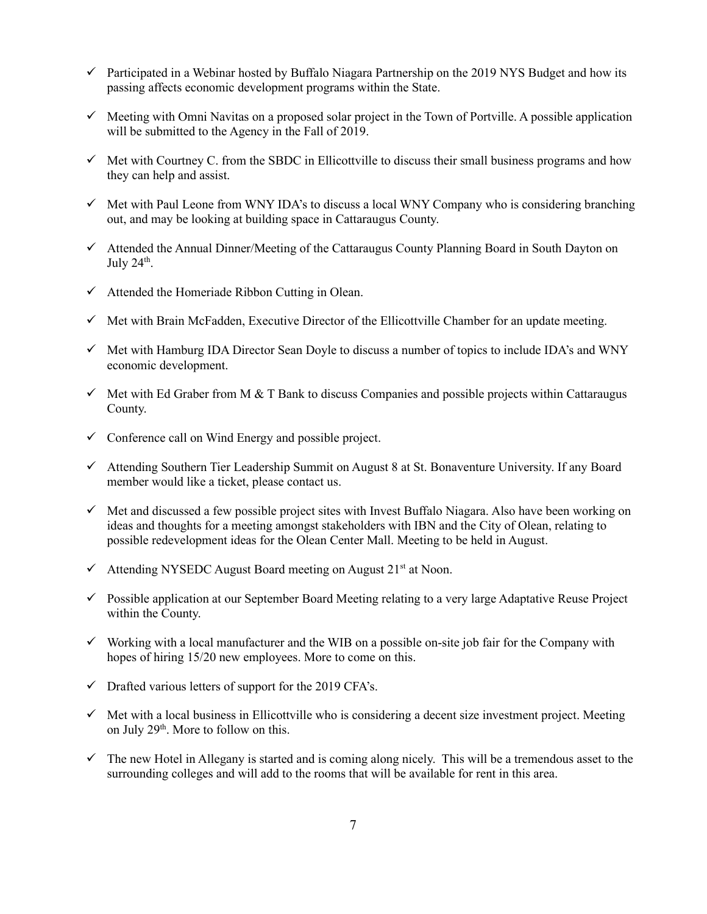- $\checkmark$  Participated in a Webinar hosted by Buffalo Niagara Partnership on the 2019 NYS Budget and how its passing affects economic development programs within the State.
- $\checkmark$  Meeting with Omni Navitas on a proposed solar project in the Town of Portville. A possible application will be submitted to the Agency in the Fall of 2019.
- $\checkmark$  Met with Courtney C. from the SBDC in Ellicottville to discuss their small business programs and how they can help and assist.
- $\checkmark$  Met with Paul Leone from WNY IDA's to discuss a local WNY Company who is considering branching out, and may be looking at building space in Cattaraugus County.
- ✓ Attended the Annual Dinner/Meeting of the Cattaraugus County Planning Board in South Dayton on July  $24<sup>th</sup>$ .
- $\checkmark$  Attended the Homeriade Ribbon Cutting in Olean.
- $\checkmark$  Met with Brain McFadden, Executive Director of the Ellicottville Chamber for an update meeting.
- $\checkmark$  Met with Hamburg IDA Director Sean Doyle to discuss a number of topics to include IDA's and WNY economic development.
- $\checkmark$  Met with Ed Graber from M & T Bank to discuss Companies and possible projects within Cattaraugus County.
- $\checkmark$  Conference call on Wind Energy and possible project.
- ✓ Attending Southern Tier Leadership Summit on August 8 at St. Bonaventure University. If any Board member would like a ticket, please contact us.
- $\checkmark$  Met and discussed a few possible project sites with Invest Buffalo Niagara. Also have been working on ideas and thoughts for a meeting amongst stakeholders with IBN and the City of Olean, relating to possible redevelopment ideas for the Olean Center Mall. Meeting to be held in August.
- $\checkmark$  Attending NYSEDC August Board meeting on August 21<sup>st</sup> at Noon.
- ✓ Possible application at our September Board Meeting relating to a very large Adaptative Reuse Project within the County.
- ✓ Working with a local manufacturer and the WIB on a possible on-site job fair for the Company with hopes of hiring 15/20 new employees. More to come on this.
- $\checkmark$  Drafted various letters of support for the 2019 CFA's.
- $\checkmark$  Met with a local business in Ellicottville who is considering a decent size investment project. Meeting on July 29<sup>th</sup>. More to follow on this.
- $\checkmark$  The new Hotel in Allegany is started and is coming along nicely. This will be a tremendous asset to the surrounding colleges and will add to the rooms that will be available for rent in this area.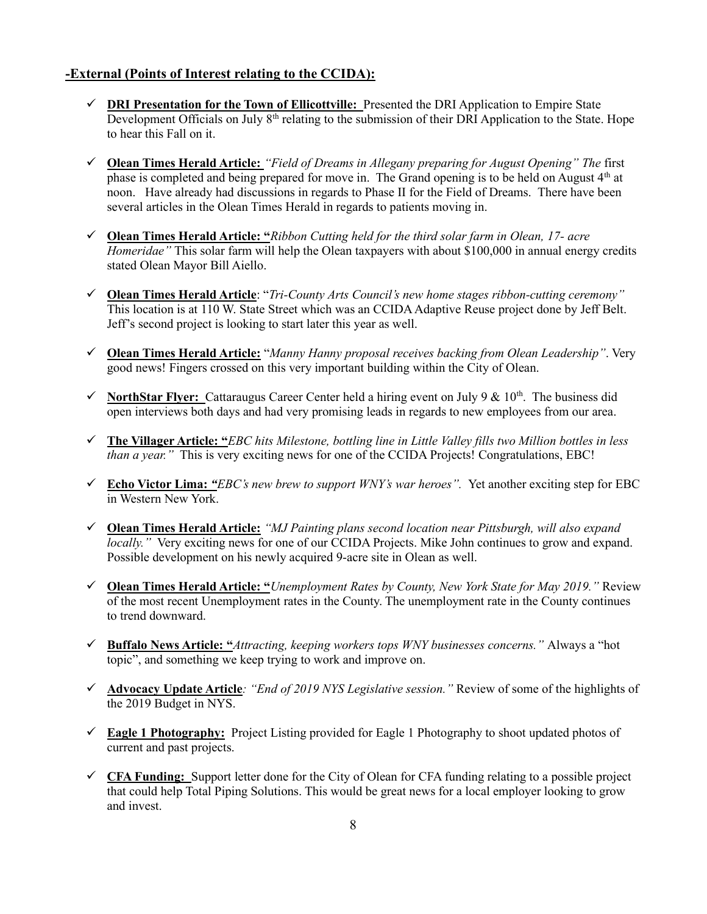# **-External (Points of Interest relating to the CCIDA):**

- ✓ **DRI Presentation for the Town of Ellicottville:** Presented the DRI Application to Empire State Development Officials on July 8<sup>th</sup> relating to the submission of their DRI Application to the State. Hope to hear this Fall on it.
- ✓ **Olean Times Herald Article:** *"Field of Dreams in Allegany preparing for August Opening" The* first phase is completed and being prepared for move in. The Grand opening is to be held on August  $4<sup>th</sup>$  at noon. Have already had discussions in regards to Phase II for the Field of Dreams. There have been several articles in the Olean Times Herald in regards to patients moving in.
- ✓ **Olean Times Herald Article: "***Ribbon Cutting held for the third solar farm in Olean, 17- acre Homeridae"* This solar farm will help the Olean taxpayers with about \$100,000 in annual energy credits stated Olean Mayor Bill Aiello.
- ✓ **Olean Times Herald Article**: "*Tri-County Arts Council's new home stages ribbon-cutting ceremony"* This location is at 110 W. State Street which was an CCIDA Adaptive Reuse project done by Jeff Belt. Jeff's second project is looking to start later this year as well.
- ✓ **Olean Times Herald Article:** "*Manny Hanny proposal receives backing from Olean Leadership"*. Very good news! Fingers crossed on this very important building within the City of Olean.
- $\checkmark$  **NorthStar Flver:** Cattaraugus Career Center held a hiring event on July 9 & 10<sup>th</sup>. The business did open interviews both days and had very promising leads in regards to new employees from our area.
- ✓ **The Villager Article: "***EBC hits Milestone, bottling line in Little Valley fills two Million bottles in less than a year.*" This is very exciting news for one of the CCIDA Projects! Congratulations, EBC!
- ✓ **Echo Victor Lima:** *"EBC's new brew to support WNY's war heroes".* Yet another exciting step for EBC in Western New York.
- ✓ **Olean Times Herald Article:** *"MJ Painting plans second location near Pittsburgh, will also expand locally.*" Very exciting news for one of our CCIDA Projects. Mike John continues to grow and expand. Possible development on his newly acquired 9-acre site in Olean as well.
- ✓ **Olean Times Herald Article: "***Unemployment Rates by County, New York State for May 2019."* Review of the most recent Unemployment rates in the County. The unemployment rate in the County continues to trend downward.
- ✓ **Buffalo News Article: "***Attracting, keeping workers tops WNY businesses concerns."* Always a "hot topic", and something we keep trying to work and improve on.
- ✓ **Advocacy Update Article***: "End of 2019 NYS Legislative session."* Review of some of the highlights of the 2019 Budget in NYS.
- ✓ **Eagle 1 Photography:** Project Listing provided for Eagle 1 Photography to shoot updated photos of current and past projects.
- ✓ **CFA Funding:** Support letter done for the City of Olean for CFA funding relating to a possible project that could help Total Piping Solutions. This would be great news for a local employer looking to grow and invest.